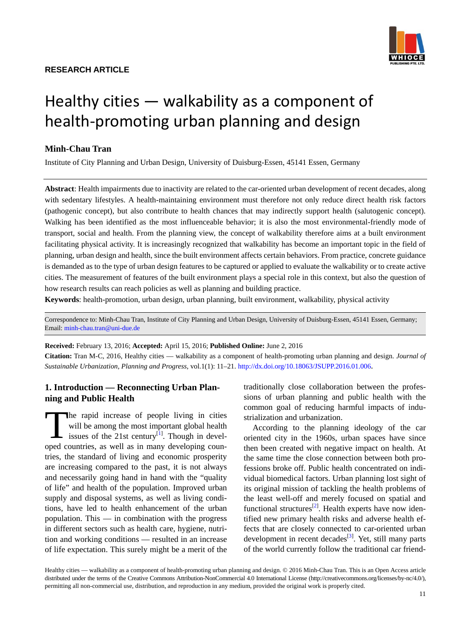## **RESEARCH ARTICLE**



# Healthy cities — walkability as a component of health-promoting urban planning and design

## **Minh-Chau Tran**

Institute of City Planning and Urban Design, University of Duisburg-Essen, 45141 Essen, Germany

**Abstract**: Health impairments due to inactivity are related to the car-oriented urban development of recent decades, along with sedentary lifestyles. A health-maintaining environment must therefore not only reduce direct health risk factors (pathogenic concept), but also contribute to health chances that may indirectly support health (salutogenic concept). Walking has been identified as the most influenceable behavior; it is also the most environmental-friendly mode of transport, social and health. From the planning view, the concept of walkability therefore aims at a built environment facilitating physical activity. It is increasingly recognized that walkability has become an important topic in the field of planning, urban design and health, since the built environment affects certain behaviors. From practice, concrete guidance is demanded as to the type of urban design features to be captured or applied to evaluate the walkability or to create active cities. The measurement of features of the built environment plays a special role in this context, but also the question of how research results can reach policies as well as planning and building practice.

**Keywords**: health-promotion, urban design, urban planning, built environment, walkability, physical activity

Correspondence to: Minh-Chau Tran, Institute of City Planning and Urban Design, University of Duisburg-Essen, 45141 Essen, Germany; Email: minh-chau.tran@uni-due.de

**Received:** February 13, 2016; **Accepted:** April 15, 2016; **Published Online:** June 2, 2016

**Citation:** Tran M-C, 2016, Healthy cities — walkability as a component of health-promoting urban planning and design. *Journal of Sustainable Urbanization, Planning and Progress*, vol.1(1): 11–21. [http://dx.doi.org/10.18063/JSUPP.2016.01.006.](http://dx.doi.org/10.18063/JSUPP.2016.01.006)

## **1. Introduction — Reconnecting Urban Planning and Public Health**

he rapid increase of people living in cities will be among the most important global health issues of the 21st century $^{[1]}$  $^{[1]}$  $^{[1]}$ . Though in devel-The rapid increase of people living in cities<br>will be among the most important global health<br>issues of the 21st century<sup>[1]</sup>. Though in devel-<br>oped countries, as well as in many developing countries, the standard of living and economic prosperity are increasing compared to the past, it is not always and necessarily going hand in hand with the "quality of life" and health of the population. Improved urban supply and disposal systems, as well as living conditions, have led to health enhancement of the urban population. This — in combination with the progress in different sectors such as health care, hygiene, nutrition and working conditions — resulted in an increase of life expectation. This surely might be a merit of the traditionally close collaboration between the professions of urban planning and public health with the common goal of reducing harmful impacts of industrialization and urbanization.

According to the planning ideology of the car oriented city in the 1960s, urban spaces have since then been created with negative impact on health. At the same time the close connection between both professions broke off. Public health concentrated on individual biomedical factors. Urban planning lost sight of its original mission of tackling the health problems of the least well-off and merely focused on spatial and functional structures<sup>[\[2\]](#page-8-1)</sup>. Health experts have now identified new primary health risks and adverse health effects that are closely connected to car-oriented urban development in recent decades<sup>[3]</sup>. Yet, still many parts of the world currently follow the traditional car friend-

Healthy cities — walkability as a component of health-promoting urban planning and design. © 2016 Minh-Chau Tran. This is an Open Access article distributed under the terms of the Creative Commons Attribution-NonCommercial 4.0 International License (http://creativecommons.org/licenses/by-nc/4.0/), permitting all non-commercial use, distribution, and reproduction in any medium, provided the original work is properly cited.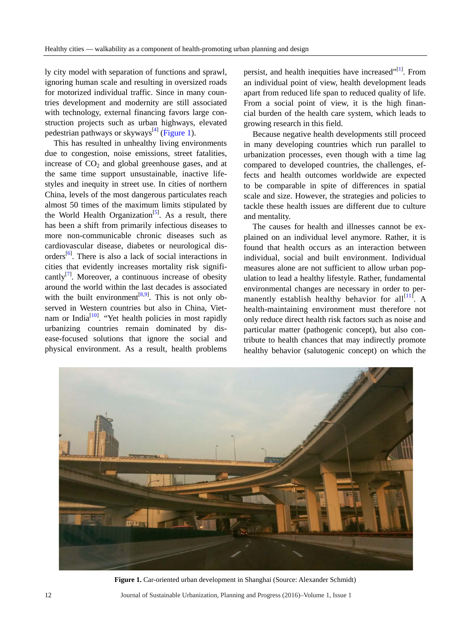ly city model with separation of functions and sprawl, ignoring human scale and resulting in oversized roads for motorized individual traffic. Since in many countries development and modernity are still associated with technology, external financing favors large construction projects such as urban highways, elevated pedestrian pathways or skyways<sup>[4]</sup> [\(Figure 1\)](#page-1-0).

This has resulted in unhealthy living environments due to congestion, noise emissions, street fatalities, increase of  $CO<sub>2</sub>$  and global greenhouse gases, and at the same time support unsustainable, inactive lifestyles and inequity in street use. In cities of northern China, levels of the most dangerous particulates reach almost 50 times of the maximum limits stipulated by the World Health Organization<sup>[\[5\]](#page-8-4)</sup>. As a result, there has been a shift from primarily infectious diseases to more non-communicable chronic diseases such as cardiovascular disease, diabetes or neurological dis-orders<sup>[\[6\]](#page-8-5)</sup>. There is also a lack of social interactions in cities that evidently increases mortality risk significantly<sup>[7]</sup>. Moreover, a continuous increase of obesity around the world within the last decades is associated with the built environment<sup> $[8,9]$  $[8,9]$ </sup>. This is not only observed in Western countries but also in China, Viet-nam or India<sup>[\[10\]](#page-8-9)</sup>. "Yet health policies in most rapidly urbanizing countries remain dominated by disease-focused solutions that ignore the social and physical environment. As a result, health problems

persist, and health inequities have increased"<sup>[\[1\]](#page-8-0)</sup>. From an individual point of view, health development leads apart from reduced life span to reduced quality of life. From a social point of view, it is the high financial burden of the health care system, which leads to growing research in this field.

Because negative health developments still proceed in many developing countries which run parallel to urbanization processes, even though with a time lag compared to developed countries, the challenges, effects and health outcomes worldwide are expected to be comparable in spite of differences in spatial scale and size. However, the strategies and policies to tackle these health issues are different due to culture and mentality.

The causes for health and illnesses cannot be explained on an individual level anymore. Rather, it is found that health occurs as an interaction between individual, social and built environment. Individual measures alone are not sufficient to allow urban population to lead a healthy lifestyle. Rather, fundamental environmental changes are necessary in order to permanently establish healthy behavior for all $^{[11]}$  $^{[11]}$  $^{[11]}$ . A health-maintaining environment must therefore not only reduce direct health risk factors such as noise and particular matter (pathogenic concept), but also contribute to health chances that may indirectly promote healthy behavior (salutogenic concept) on which the

<span id="page-1-0"></span>

**Figure 1.** Car-oriented urban development in Shanghai (Source: Alexander Schmidt)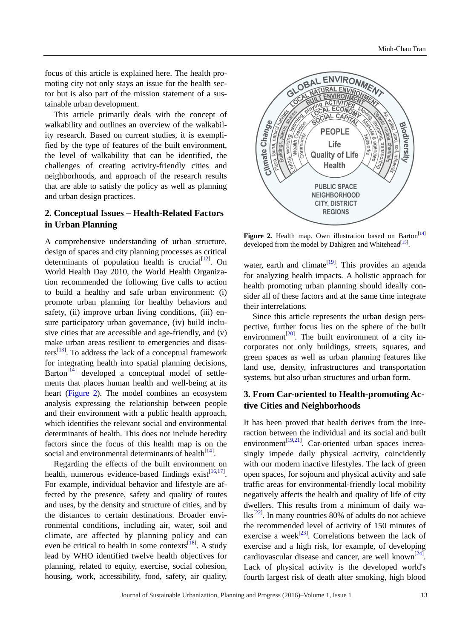focus of this article is explained here. The health promoting city not only stays an issue for the health sector but is also part of the mission statement of a sustainable urban development.

This article primarily deals with the concept of walkability and outlines an overview of the walkability research. Based on current studies, it is exemplified by the type of features of the built environment, the level of walkability that can be identified, the challenges of creating activity-friendly cities and neighborhoods, and approach of the research results that are able to satisfy the policy as well as planning and urban design practices.

# **2. Conceptual Issues – Health-Related Factors in Urban Planning**

A comprehensive understanding of urban structure, design of spaces and city planning processes as critical determinants of population health is crucial $[12]$ . On World Health Day 2010, the World Health Organization recommended the following five calls to action to build a healthy and safe urban environment: (i) promote urban planning for healthy behaviors and safety, (ii) improve urban living conditions, (iii) ensure participatory urban governance, (iv) build inclusive cities that are accessible and age-friendly, and (v) make urban areas resilient to emergencies and disasters $^{[13]}$  $^{[13]}$  $^{[13]}$ . To address the lack of a conceptual framework for integrating health into spatial planning decisions, Barton<sup>[\[14\]](#page-8-13)</sup> developed a conceptual model of settlements that places human health and well-being at its heart [\(Figure 2\)](#page-2-0). The model combines an ecosystem analysis expressing the relationship between people and their environment with a public health approach, which identifies the relevant social and environmental determinants of health. This does not include heredity factors since the focus of this health map is on the social and environmental determinants of health $[14]$ .

Regarding the effects of the built environment on health, numerous evidence-based findings exist<sup>[\[16,](#page-8-14)[17\]](#page-8-15)</sup>. For example, individual behavior and lifestyle are affected by the presence, safety and quality of routes and uses, by the density and structure of cities, and by the distances to certain destinations. Broader environmental conditions, including air, water, soil and climate, are affected by planning policy and can even be critical to health in some contexts $^{[18]}$  $^{[18]}$  $^{[18]}$ . A study lead by WHO identified twelve health objectives for planning, related to equity, exercise, social cohesion, housing, work, accessibility, food, safety, air quality,

<span id="page-2-0"></span>

Figure 2. Health map. Own illustration based on Barton<sup>[14]</sup> developed from the model by Dahlgren and Whitehead<sup>[15]</sup>.

water, earth and climate<sup>[\[19\]](#page-8-18)</sup>. This provides an agenda for analyzing health impacts. A holistic approach for health promoting urban planning should ideally consider all of these factors and at the same time integrate their interrelations.

Since this article represents the urban design perspective, further focus lies on the sphere of the built environment<sup>[\[20\]](#page-8-19)</sup>. The built environment of a city incorporates not only buildings, streets, squares, and green spaces as well as urban planning features like land use, density, infrastructures and transportation systems, but also urban structures and urban form.

## **3. From Car-oriented to Health-promoting Active Cities and Neighborhoods**

It has been proved that health derives from the interaction between the individual and its social and built environment<sup>[\[19,](#page-8-18)[21\]](#page-9-0)</sup>. Car-oriented urban spaces increasingly impede daily physical activity, coincidently with our modern inactive lifestyles. The lack of green open spaces, for sojourn and physical activity and safe traffic areas for environmental-friendly local mobility negatively affects the health and quality of life of city dwellers. This results from a minimum of daily wa- $lks^{[22]}$  $lks^{[22]}$  $lks^{[22]}$ . In many countries 80% of adults do not achieve the recommended level of activity of 150 minutes of exercise a week<sup>[\[23\]](#page-9-2)</sup>. Correlations between the lack of exercise and a high risk, for example, of developing cardiovascular disease and cancer, are well known<sup>[24]</sup>. Lack of physical activity is the developed world's fourth largest risk of death after smoking, high blood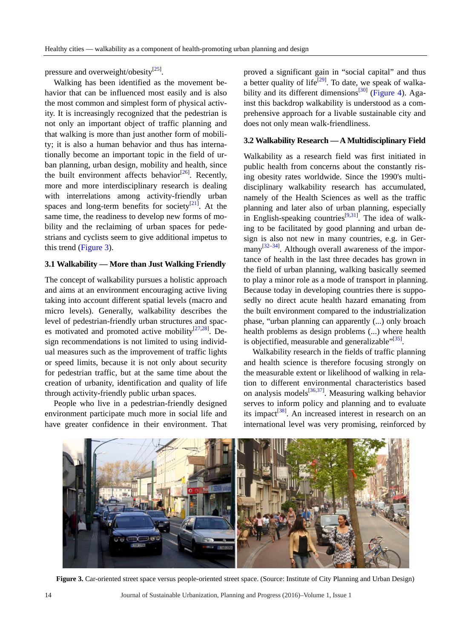pressure and overweight/obesity<sup>[\[25\]](#page-9-4)</sup>.

Walking has been identified as the movement behavior that can be influenced most easily and is also the most common and simplest form of physical activity. It is increasingly recognized that the pedestrian is not only an important object of traffic planning and that walking is more than just another form of mobility; it is also a human behavior and thus has internationally become an important topic in the field of urban planning, urban design, mobility and health, since the built environment affects behavior<sup>[26]</sup>. Recently, more and more interdisciplinary research is dealing with interrelations among activity-friendly urban spaces and long-term benefits for society $[21]$ . At the same time, the readiness to develop new forms of mobility and the reclaiming of urban spaces for pedestrians and cyclists seem to give additional impetus to this trend [\(Figure 3\)](#page-3-0).

#### **3.1 Walkability — More than Just Walking Friendly**

The concept of walkability pursues a holistic approach and aims at an environment encouraging active living taking into account different spatial levels (macro and micro levels). Generally, walkability describes the level of pedestrian-friendly urban structures and spac-es motivated and promoted active mobility<sup>[27,[28\]](#page-9-7)</sup>. Design recommendations is not limited to using individual measures such as the improvement of traffic lights or speed limits, because it is not only about security for pedestrian traffic, but at the same time about the creation of urbanity, identification and quality of life through activity-friendly public urban spaces.

People who live in a pedestrian-friendly designed environment participate much more in social life and have greater confidence in their environment. That proved a significant gain in "social capital" and thus a better quality of life<sup>[\[29\]](#page-9-8)</sup>. To date, we speak of walka-bility and its different dimensions<sup>[\[30\]](#page-9-9)</sup> [\(Figure 4\)](#page-4-0). Against this backdrop walkability is understood as a comprehensive approach for a livable sustainable city and does not only mean walk-friendliness.

#### **3.2 Walkability Research —A Multidisciplinary Field**

Walkability as a research field was first initiated in public health from concerns about the constantly rising obesity rates worldwide. Since the 1990's multidisciplinary walkability research has accumulated, namely of the Health Sciences as well as the traffic planning and later also of urban planning, especially in English-speaking countries<sup>[9,[31\]](#page-9-10)</sup>. The idea of walking to be facilitated by good planning and urban design is also not new in many countries, e.g. in Ger-many<sup>[\[32](#page-9-11)[–34\]](#page-9-12)</sup>. Although overall awareness of the importance of health in the last three decades has grown in the field of urban planning, walking basically seemed to play a minor role as a mode of transport in planning. Because today in developing countries there is supposedly no direct acute health hazard emanating from the built environment compared to the industrialization phase, "urban planning can apparently (...) only broach health problems as design problems (...) where health is objectified, measurable and generalizable"<sup>[\[35\]](#page-9-13)</sup>.

Walkability research in the fields of traffic planning and health science is therefore focusing strongly on the measurable extent or likelihood of walking in relation to different environmental characteristics based on analysis models<sup>[\[36,](#page-9-14)[37\]](#page-9-15)</sup>. Measuring walking behavior serves to inform policy and planning and to evaluate its impact<sup>[\[38\]](#page-9-16)</sup>. An increased interest in research on an international level was very promising, reinforced by

<span id="page-3-0"></span>

**Figure 3.** Car-oriented street space versus people-oriented street space. (Source: Institute of City Planning and Urban Design)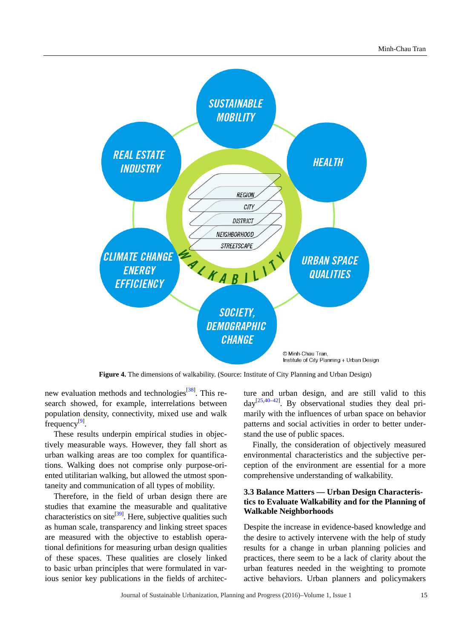<span id="page-4-0"></span>

**Figure 4.** The dimensions of walkability. (Source: Institute of City Planning and Urban Design)

new evaluation methods and technologies<sup>[\[38\]](#page-9-16)</sup>. This research showed, for example, interrelations between population density, connectivity, mixed use and walk frequency<sup>[\[9\]](#page-8-8)</sup>.

These results underpin empirical studies in objectively measurable ways. However, they fall short as urban walking areas are too complex for quantifications. Walking does not comprise only purpose-oriented utilitarian walking, but allowed the utmost spontaneity and communication of all types of mobility.

Therefore, in the field of urban design there are studies that examine the measurable and qualitative characteristics on site<sup>[39]</sup>. Here, subjective qualities such as human scale, transparency and linking street spaces are measured with the objective to establish operational definitions for measuring urban design qualities of these spaces. These qualities are closely linked to basic urban principles that were formulated in various senior key publications in the fields of architecture and urban design, and are still valid to this  $day^{[25,40-42]}$  $day^{[25,40-42]}$  $day^{[25,40-42]}$  $day^{[25,40-42]}$  $day^{[25,40-42]}$ . By observational studies they deal primarily with the influences of urban space on behavior patterns and social activities in order to better understand the use of public spaces.

Finally, the consideration of objectively measured environmental characteristics and the subjective perception of the environment are essential for a more comprehensive understanding of walkability.

## **3.3 Balance Matters — Urban Design Characteristics to Evaluate Walkability and for the Planning of Walkable Neighborhoods**

Despite the increase in evidence-based knowledge and the desire to actively intervene with the help of study results for a change in urban planning policies and practices, there seem to be a lack of clarity about the urban features needed in the weighting to promote active behaviors. Urban planners and policymakers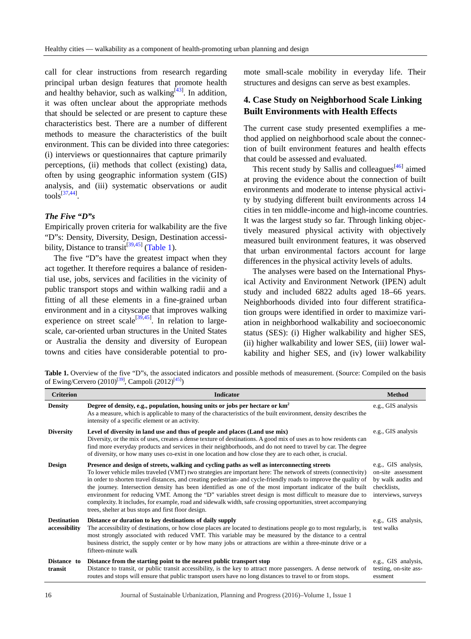call for clear instructions from research regarding principal urban design features that promote health and healthy behavior, such as walking $[43]$ . In addition, it was often unclear about the appropriate methods that should be selected or are present to capture these characteristics best. There are a number of different methods to measure the characteristics of the built environment. This can be divided into three categories: (i) interviews or questionnaires that capture primarily perceptions, (ii) methods that collect (existing) data, often by using geographic information system (GIS) analysis, and (iii) systematic observations or audit  $\text{tools}^{[37,44]}$  $\text{tools}^{[37,44]}$  $\text{tools}^{[37,44]}$ .

#### *The Five "D"s*

Empirically proven criteria for walkability are the five "D"s: Density, Diversity, Design, Destination accessi-bility, Distance to transit<sup>[\[39,](#page-9-17)[45\]](#page-9-22)</sup> [\(Table 1\)](#page-5-0).

The five "D"s have the greatest impact when they act together. It therefore requires a balance of residential use, jobs, services and facilities in the vicinity of public transport stops and within walking radii and a fitting of all these elements in a fine-grained urban environment and in a cityscape that improves walking experience on street scale<sup>[\[39,](#page-9-17)[45\]](#page-9-22)</sup>. In relation to largescale, car-oriented urban structures in the United States or Australia the density and diversity of European towns and cities have considerable potential to promote small-scale mobility in everyday life. Their structures and designs can serve as best examples.

## **4. Case Study on Neighborhood Scale Linking Built Environments with Health Effects**

The current case study presented exemplifies a method applied on neighborhood scale about the connection of built environment features and health effects that could be assessed and evaluated.

This recent study by Sallis and colleagues<sup>[\[46\]](#page-10-0)</sup> aimed at proving the evidence about the connection of built environments and moderate to intense physical activity by studying different built environments across 14 cities in ten middle-income and high-income countries. It was the largest study so far. Through linking objectively measured physical activity with objectively measured built environment features, it was observed that urban environmental factors account for large differences in the physical activity levels of adults.

The analyses were based on the International Physical Activity and Environment Network (IPEN) adult study and included 6822 adults aged 18–66 years. Neighborhoods divided into four different stratification groups were identified in order to maximize variation in neighborhood walkability and socioeconomic status (SES): (i) Higher walkability and higher SES, (ii) higher walkability and lower SES, (iii) lower walkability and higher SES, and (iv) lower walkability

<span id="page-5-0"></span>Table 1. Overview of the five "D"s, the associated indicators and possible methods of measurement. (Source: Compiled on the basis of Ewing/Cervero (2010)<sup>[\[39\]](#page-9-17)</sup>, Campoli (2012)<sup>[\[45\]](#page-9-22)</sup>)

| <b>Criterion</b>                    | <b>Indicator</b>                                                                                                                                                                                                                                                                                                                                                                                                                                                                                                                                                                                                                                                                                                                      | <b>Method</b>                                                                                         |
|-------------------------------------|---------------------------------------------------------------------------------------------------------------------------------------------------------------------------------------------------------------------------------------------------------------------------------------------------------------------------------------------------------------------------------------------------------------------------------------------------------------------------------------------------------------------------------------------------------------------------------------------------------------------------------------------------------------------------------------------------------------------------------------|-------------------------------------------------------------------------------------------------------|
| <b>Density</b>                      | Degree of density, e.g., population, housing units or jobs per hectare or km <sup>2</sup><br>As a measure, which is applicable to many of the characteristics of the built environment, density describes the<br>intensity of a specific element or an activity.                                                                                                                                                                                                                                                                                                                                                                                                                                                                      | e.g., GIS analysis                                                                                    |
| <b>Diversity</b>                    | Level of diversity in land use and thus of people and places (Land use mix)<br>Diversity, or the mix of uses, creates a dense texture of destinations. A good mix of uses as to how residents can<br>find more everyday products and services in their neighborhoods, and do not need to travel by car. The degree<br>of diversity, or how many uses co-exist in one location and how close they are to each other, is crucial.                                                                                                                                                                                                                                                                                                       | e.g., GIS analysis                                                                                    |
| <b>Design</b>                       | Presence and design of streets, walking and cycling paths as well as interconnecting streets<br>To lower vehicle miles traveled (VMT) two strategies are important here: The network of streets (connectivity)<br>in order to shorten travel distances, and creating pedestrian- and cycle-friendly roads to improve the quality of<br>the journey. Intersection density has been identified as one of the most important indicator of the built<br>environment for reducing VMT. Among the "D" variables street design is most difficult to measure due to<br>complexity. It includes, for example, road and sidewalk width, safe crossing opportunities, street accompanying<br>trees, shelter at bus stops and first floor design. | e.g., GIS analysis,<br>on-site assessment<br>by walk audits and<br>checklists.<br>interviews, surveys |
| <b>Destination</b><br>accessibility | Distance or duration to key destinations of daily supply<br>The accessibility of destinations, or how close places are located to destinations people go to most regularly, is<br>most strongly associated with reduced VMT. This variable may be measured by the distance to a central<br>business district, the supply center or by how many jobs or attractions are within a three-minute drive or a<br>fifteen-minute walk                                                                                                                                                                                                                                                                                                        | e.g., GIS analysis,<br>test walks                                                                     |
| Distance to<br>transit              | Distance from the starting point to the nearest public transport stop<br>Distance to transit, or public transit accessibility, is the key to attract more passengers. A dense network of<br>routes and stops will ensure that public transport users have no long distances to travel to or from stops.                                                                                                                                                                                                                                                                                                                                                                                                                               | e.g., GIS analysis,<br>testing, on-site ass-<br>essment                                               |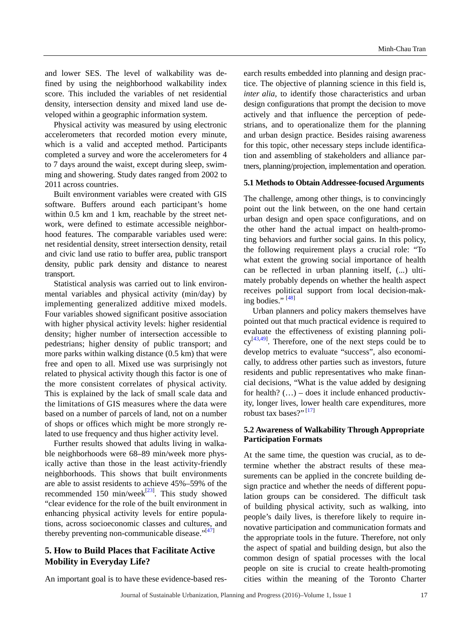and lower SES. The level of walkability was defined by using the neighborhood walkability index score. This included the variables of net residential density, intersection density and mixed land use developed within a geographic information system.

Physical activity was measured by using electronic accelerometers that recorded motion every minute, which is a valid and accepted method. Participants completed a survey and wore the accelerometers for 4 to 7 days around the waist, except during sleep, swimming and showering. Study dates ranged from 2002 to 2011 across countries.

Built environment variables were created with GIS software. Buffers around each participant's home within 0.5 km and 1 km, reachable by the street network, were defined to estimate accessible neighborhood features. The comparable variables used were: net residential density, street intersection density, retail and civic land use ratio to buffer area, public transport density, public park density and distance to nearest transport.

Statistical analysis was carried out to link environmental variables and physical activity (min/day) by implementing generalized additive mixed models. Four variables showed significant positive association with higher physical activity levels: higher residential density; higher number of intersection accessible to pedestrians; higher density of public transport; and more parks within walking distance (0.5 km) that were free and open to all. Mixed use was surprisingly not related to physical activity though this factor is one of the more consistent correlates of physical activity. This is explained by the lack of small scale data and the limitations of GIS measures where the data were based on a number of parcels of land, not on a number of shops or offices which might be more strongly related to use frequency and thus higher activity level.

Further results showed that adults living in walkable neighborhoods were 68–89 min/week more physically active than those in the least activity-friendly neighborhoods. This shows that built environments are able to assist residents to achieve 45%–59% of the recommended 150 min/week $^{[23]}$  $^{[23]}$  $^{[23]}$ . This study showed "clear evidence for the role of the built environment in enhancing physical activity levels for entire populations, across socioeconomic classes and cultures, and thereby preventing non-communicable disease." $[47]$ 

## **5. How to Build Places that Facilitate Active Mobility in Everyday Life?**

An important goal is to have these evidence-based res-

earch results embedded into planning and design practice. The objective of planning science in this field is, *inter alia*, to identify those characteristics and urban design configurations that prompt the decision to move actively and that influence the perception of pedestrians, and to operationalize them for the planning and urban design practice. Besides raising awareness for this topic, other necessary steps include identification and assembling of stakeholders and alliance partners, planning/projection, implementation and operation.

#### **5.1 Methods to Obtain Addressee-focused Arguments**

The challenge, among other things, is to convincingly point out the link between, on the one hand certain urban design and open space configurations, and on the other hand the actual impact on health-promoting behaviors and further social gains. In this policy, the following requirement plays a crucial role: "To what extent the growing social importance of health can be reflected in urban planning itself, (...) ultimately probably depends on whether the health aspect receives political support from local decision-mak-ing bodies." [\[48\]](#page-10-2)

Urban planners and policy makers themselves have pointed out that much practical evidence is required to evaluate the effectiveness of existing planning poli- $cy^{[43,49]}$  $cy^{[43,49]}$  $cy^{[43,49]}$ . Therefore, one of the next steps could be to develop metrics to evaluate "success", also economically, to address other parties such as investors, future residents and public representatives who make financial decisions, "What is the value added by designing for health?  $(...)$  – does it include enhanced productivity, longer lives, lower health care expenditures, more robust tax bases?"<sup>[\[17\]](#page-8-15)</sup>

## **5.2 Awareness of Walkability Through Appropriate Participation Formats**

At the same time, the question was crucial, as to determine whether the abstract results of these measurements can be applied in the concrete building design practice and whether the needs of different population groups can be considered. The difficult task of building physical activity, such as walking, into people's daily lives, is therefore likely to require innovative participation and communication formats and the appropriate tools in the future. Therefore, not only the aspect of spatial and building design, but also the common design of spatial processes with the local people on site is crucial to create health-promoting cities within the meaning of the Toronto Charter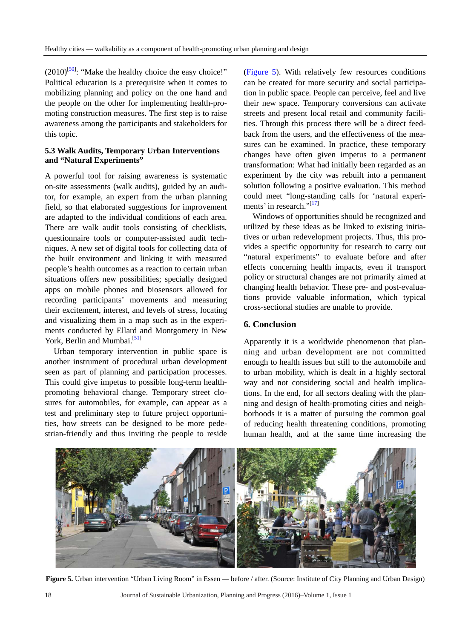$(2010)^{[50]}$  $(2010)^{[50]}$  $(2010)^{[50]}$ : "Make the healthy choice the easy choice!" Political education is a prerequisite when it comes to mobilizing planning and policy on the one hand and the people on the other for implementing health-promoting construction measures. The first step is to raise awareness among the participants and stakeholders for this topic.

## **5.3 Walk Audits, Temporary Urban Interventions and "Natural Experiments"**

A powerful tool for raising awareness is systematic on-site assessments (walk audits), guided by an auditor, for example, an expert from the urban planning field, so that elaborated suggestions for improvement are adapted to the individual conditions of each area. There are walk audit tools consisting of checklists, questionnaire tools or computer-assisted audit techniques. A new set of digital tools for collecting data of the built environment and linking it with measured people's health outcomes as a reaction to certain urban situations offers new possibilities; specially designed apps on mobile phones and biosensors allowed for recording participants' movements and measuring their excitement, interest, and levels of stress, locating and visualizing them in a map such as in the experiments conducted by Ellard and Montgomery in New York, Berlin and Mumbai.<sup>[51]</sup>

Urban temporary intervention in public space is another instrument of procedural urban development seen as part of planning and participation processes. This could give impetus to possible long-term healthpromoting behavioral change. Temporary street closures for automobiles, for example, can appear as a test and preliminary step to future project opportunities, how streets can be designed to be more pedestrian-friendly and thus inviting the people to reside [\(Figure 5\)](#page-7-0). With relatively few resources conditions can be created for more security and social participation in public space. People can perceive, feel and live their new space. Temporary conversions can activate streets and present local retail and community facilities. Through this process there will be a direct feedback from the users, and the effectiveness of the measures can be examined. In practice, these temporary changes have often given impetus to a permanent transformation: What had initially been regarded as an experiment by the city was rebuilt into a permanent solution following a positive evaluation. This method could meet "long-standing calls for 'natural experiments' in research." $[17]$ 

Windows of opportunities should be recognized and utilized by these ideas as be linked to existing initiatives or urban redevelopment projects. Thus, this provides a specific opportunity for research to carry out "natural experiments" to evaluate before and after effects concerning health impacts, even if transport policy or structural changes are not primarily aimed at changing health behavior. These pre- and post-evaluations provide valuable information, which typical cross-sectional studies are unable to provide.

## **6. Conclusion**

Apparently it is a worldwide phenomenon that planning and urban development are not committed enough to health issues but still to the automobile and to urban mobility, which is dealt in a highly sectoral way and not considering social and health implications. In the end, for all sectors dealing with the planning and design of health-promoting cities and neighborhoods it is a matter of pursuing the common goal of reducing health threatening conditions, promoting human health, and at the same time increasing the

<span id="page-7-0"></span>

Figure 5. Urban intervention "Urban Living Room" in Essen — before / after. (Source: Institute of City Planning and Urban Design)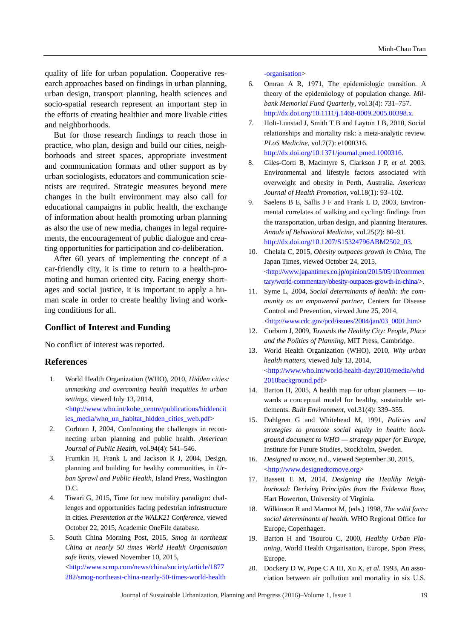quality of life for urban population. Cooperative research approaches based on findings in urban planning, urban design, transport planning, health sciences and socio-spatial research represent an important step in the efforts of creating healthier and more livable cities and neighborhoods.

But for those research findings to reach those in practice, who plan, design and build our cities, neighborhoods and street spaces, appropriate investment and communication formats and other support as by urban sociologists, educators and communication scientists are required. Strategic measures beyond mere changes in the built environment may also call for educational campaigns in public health, the exchange of information about health promoting urban planning as also the use of new media, changes in legal requirements, the encouragement of public dialogue and creating opportunities for participation and co-deliberation.

After 60 years of implementing the concept of a car-friendly city, it is time to return to a health-promoting and human oriented city. Facing energy shortages and social justice, it is important to apply a human scale in order to create healthy living and working conditions for all.

## **Conflict of Interest and Funding**

No conflict of interest was reported.

#### **References**

- <span id="page-8-0"></span>1. World Health Organization (WHO), 2010, *Hidden cities: unmasking and overcoming health inequities in urban settings*, viewed July 13, 2014, [<http://www.who.int/kobe\\_centre/publications/hiddencit](http://www.who.int/kobe_centre/publications/hiddencities_media/who_un_habitat_hidden_cities_web.pdf) [ies\\_media/who\\_un\\_habitat\\_hidden\\_cities\\_web.pdf>](http://www.who.int/kobe_centre/publications/hiddencities_media/who_un_habitat_hidden_cities_web.pdf)
- <span id="page-8-1"></span>2. Corburn J, 2004, Confronting the challenges in reconnecting urban planning and public health. *American Journal of Public Health*, vol.94(4): 541–546.
- <span id="page-8-2"></span>3. Frumkin H, Frank L and Jackson R J, 2004, Design, planning and building for healthy communities, in *Urban Sprawl and Public Health*, Island Press, Washington  $D C$
- <span id="page-8-3"></span>4. Tiwari G, 2015, Time for new mobility paradigm: challenges and opportunities facing pedestrian infrastructure in cities. *Presentation at the WALK21 Conference*, viewed October 22, 2015, Academic OneFile database.
- <span id="page-8-4"></span>5. South China Morning Post*,* 2015*, Smog in northeast China at nearly 50 times World Health Organisation safe limits*, viewed November 10, 2015, [<http://www.scmp.com/news/china/society/article/1877](http://www.scmp.com/news/china/society/article/1877282/smog-northeast-china-nearly-50-times-world-health-organisation) [282/smog-northeast-china-nearly-50-times-world-health](http://www.scmp.com/news/china/society/article/1877282/smog-northeast-china-nearly-50-times-world-health-organisation)

[-organisation>](http://www.scmp.com/news/china/society/article/1877282/smog-northeast-china-nearly-50-times-world-health-organisation)

- <span id="page-8-5"></span>6. Omran A R, 1971, The epidemiologic transition. A theory of the epidemiology of population change. *Milbank Memorial Fund Quarterly*, vol.3(4): 731–757. [http://dx.doi.org/10.1111/j.1468-0009.2005.00398.x.](http://dx.doi.org/10.1111/j.1468-0009.2005.00398.x)
- <span id="page-8-6"></span>7. Holt-Lunstad J, Smith T B and Layton J B, 2010, Social relationships and mortality risk: a meta-analytic review. *PLoS Medicine,* vol.7(7): e1000316. [http://dx.doi.org/10.1371/journal.pmed.1000316.](http://dx.doi.org/10.1371/journal.pmed.1000316)
- <span id="page-8-7"></span>8. Giles-Corti B, [Macintyre](http://www.ncbi.nlm.nih.gov/pubmed/?term=Macintyre%20S%5BAuthor%5D&cauthor=true&cauthor_uid=13677967) S, [Clarkson J P,](http://www.ncbi.nlm.nih.gov/pubmed/?term=Clarkson%20JP%5BAuthor%5D&cauthor=true&cauthor_uid=13677967) *et al*. 2003. Environmental and lifestyle factors associated with overweight and obesity in Perth, Australia. *American Journal of Health Promotion*, vol.18(1): 93–102.
- <span id="page-8-8"></span>9. Saelens B E, Sallis J F and Frank L D, 2003, Environmental correlates of walking and cycling: findings from the transportation, urban design, and planning literatures. *Annals of Behavioral Medicine*, vol.25(2): 80–91. [http://dx.doi.org/10.1207/S15324796ABM2502\\_03.](http://dx.doi.org/10.1207/S15324796ABM2502_03)
- <span id="page-8-9"></span>10. Chelala C, 2015, *Obesity outpaces growth in China*, The Japan Times*,* viewed October 24, 2015, [<http://www.japantimes.co.jp/opinion/2015/05/10/commen](http://www.japantimes.co.jp/opinion/2015/05/10/commentary/world-commentary/obesity-outpaces-growth-in-china/) [tary/world-commentary/obesity-outpaces-growth-in-china/>](http://www.japantimes.co.jp/opinion/2015/05/10/commentary/world-commentary/obesity-outpaces-growth-in-china/).
- <span id="page-8-10"></span>11. Syme L, 2004, *Social determinants of health: the community as an empowered partner*, Centers for Disease Control and Prevention, viewed June 25, 2014, [<http://www.cdc.gov/pcd/issues/2004/jan/03\\_0001.htm>](http://www.cdc.gov/pcd/issues/2004/jan/03_0001.htm)
- <span id="page-8-11"></span>12. Corburn J, 2009, *Towards the Healthy City: People, Place and the Politics of Planning*, MIT Press, Cambridge.
- <span id="page-8-12"></span>13. World Health Organization (WHO), 2010, *Why urban health matters*, viewed July 13, 2014, [<http://www.who.int/world-health-day/2010/media/whd](http://www.who.int/world-health-day/2010/media/whd2010background.pdf) [2010background.pdf>](http://www.who.int/world-health-day/2010/media/whd2010background.pdf)
- <span id="page-8-13"></span>14. Barton H, 2005, A health map for urban planners — towards a conceptual model for healthy, sustainable settlements. *Built Environment*, vol.31(4): 339–355.
- <span id="page-8-17"></span>15. Dahlgren G and Whitehead M, 1991, *Policies and strategies to promote social equity in health: background document to WHO — strategy paper for Europe*, Institute for Future Studies, Stockholm, Sweden.
- <span id="page-8-14"></span>16. *Designed to move*, n.d., viewed September 30, 2015, [<http://www.designedtomove.org>](http://www.designedtomove.org/)
- <span id="page-8-15"></span>17. Bassett E M, 2014, *Designing the Healthy Neighborhood: Deriving Principles from the Evidence Base*, Hart Howerton, University of Virginia.
- <span id="page-8-16"></span>18. Wilkinson R and Marmot M, (eds.) 1998, *The solid facts: social determinants of health.* WHO Regional Office for Europe, Copenhagen.
- <span id="page-8-18"></span>19. Barton H and Tsourou C, 2000, *Healthy Urban Planning*, World Health Organisation, Europe, Spon Press, Europe.
- <span id="page-8-19"></span>20. Dockery D W, Pope C A III, Xu X, *et al.* 1993, An association between air pollution and mortality in six U.S.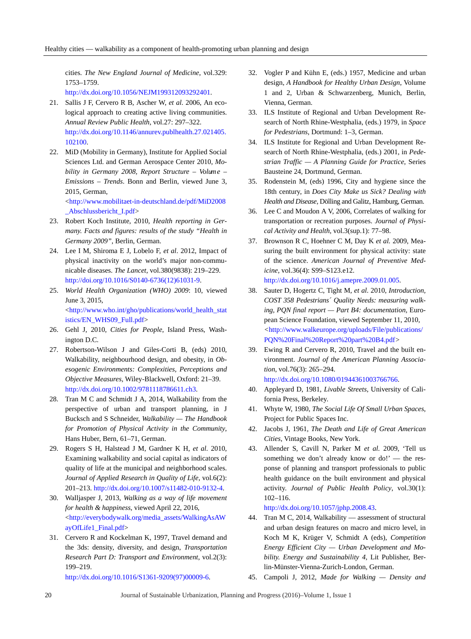cities. *The New England Journal of Medicine*, vol.329: 1753–1759.

[http://dx.doi.org/10.1056/NEJM199312093292401.](http://dx.doi.org/10.1056/NEJM199312093292401)

- <span id="page-9-0"></span>21. Sallis J F, Cervero R B, Ascher W, *et al*. 2006, An ecological approach to creating active living communities. *Annual Review Public Health*, vol.27: 297–322. [http://dx.doi.org/10.1146/annurev.publhealth.27.021405.](http://dx.doi.org/10.1146/annurev.publhealth.27.021405.102100) [102100.](http://dx.doi.org/10.1146/annurev.publhealth.27.021405.102100)
- <span id="page-9-1"></span>22. MiD (Mobility in Germany), Institute for Applied Social Sciences Ltd. and German Aerospace Center 2010, *Mobility in Germany 2008, Report Structure – Volume – Emissions – Trends*. Bonn and Berlin, viewed June 3, 2015, German,

[<http://www.mobilitaet-in-deutschland.de/pdf/MiD2008](http://www.mobilitaet-in-deutschland.de/pdf/MiD2008_Abschlussbericht_I.pdf) [\\_Abschlussbericht\\_I.pdf>](http://www.mobilitaet-in-deutschland.de/pdf/MiD2008_Abschlussbericht_I.pdf)

- <span id="page-9-2"></span>23. Robert Koch Institute, 2010, *Health reporting in Germany. Facts and figures: results of the study "Health in Germany 2009"*, Berlin, German.
- <span id="page-9-3"></span>24. Lee I M, Shiroma E J, Lobelo F, *et al*. 2012, Impact of physical inactivity on the world's major non-communicable diseases. *The Lancet*, vol.380(9838): 219–229. [http://doi.org/10.1016/S0140-6736\(12\)61031-9.](http://doi.org/10.1016/S0140-6736(12)61031-9)
- <span id="page-9-4"></span>25. *World Health Organization (WHO) 2009*: 10, viewed June 3, 2015, [<http://www.who.int/gho/publications/world\\_health\\_stat](http://www.who.int/gho/publications/world_health_statistics/EN_WHS09_Full.pdf) [istics/EN\\_WHS09\\_Full.pdf>](http://www.who.int/gho/publications/world_health_statistics/EN_WHS09_Full.pdf)
- <span id="page-9-5"></span>26. Gehl J, 2010, *Cities for People*, Island Press, Washington D.C.
- <span id="page-9-6"></span>27. Robertson-Wilson J and Giles-Corti B, (eds) 2010, Walkability, neighbourhood design, and obesity, in *Obesogenic Environments: Complexities, Perceptions and Objective Measures*, Wiley-Blackwell, Oxford: 21–39. [http://dx.doi.org/10.1002/9781118786611.ch3.](http://dx.doi.org/10.1002/9781118786611.ch3)
- <span id="page-9-7"></span>28. Tran M C and Schmidt J A, 2014, Walkability from the perspective of urban and transport planning, in J Bucksch and S Schneider, *Walkability — The Handbook for Promotion of Physical Activity in the Community*, Hans Huber, Bern, 61–71, German.
- <span id="page-9-8"></span>29. Rogers S H, Halstead J M, Gardner K H, *et al*. 2010, Examining walkability and social capital as indicators of quality of life at the municipal and neighborhood scales. *Journal of Applied Research in Quality of Life*, vol.6(2): 201–213[. http://dx.doi.org/10.1007/s11482-010-9132-4.](http://dx.doi.org/10.1007/s11482-010-9132-4)
- <span id="page-9-9"></span>30. Walljasper J, 2013, *Walking as a way of life movement for health & happiness*, viewed April 22, 2016, [<http://everybodywalk.org/media\\_assets/WalkingAsAW](http://everybodywalk.org/media_assets/WalkingAsAWayOfLife1_Final.pdf) [ayOfLife1\\_Final.pdf>](http://everybodywalk.org/media_assets/WalkingAsAWayOfLife1_Final.pdf)
- <span id="page-9-10"></span>31. Cervero R and Kockelman K, 1997, Travel demand and the 3ds: density, diversity, and design, *Transportation Research Part D: Transport and Environment*, vol.2(3): 199–219. [http://dx.doi.org/10.1016/S1361-9209\(97\)00009-6.](http://dx.doi.org/10.1016/S1361-9209(97)00009-6)

<span id="page-9-11"></span>32. Vogler P and Kühn E, (eds.) 1957, Medicine and urban design, *A Handbook for Healthy Urban Design*, Volume 1 and 2, Urban & Schwarzenberg, Munich, Berlin, Vienna, German.

- 33. ILS Institute of Regional and Urban Development Research of North Rhine-Westphalia, (eds.) 1979, in *Space for Pedestrians*, Dortmund: 1–3, German.
- <span id="page-9-12"></span>34. ILS Institute for Regional and Urban Development Research of North Rhine-Westphalia, (eds.) 2001, in *Pedestrian Traffic — A Planning Guide for Practice*, Series Bausteine 24, Dortmund, German.
- <span id="page-9-13"></span>35. Rodenstein M, (eds) 1996, City and hygiene since the 18th century, in *Does City Make us Sick? Dealing with Health and Disease*, Dölling and Galitz, Hamburg, German.
- <span id="page-9-14"></span>36. Lee C and Moudon A V, 2006, Correlates of walking for transportation or recreation purposes. *Journal of Physical Activity and Health*, vol.3(sup.1): 77–98.
- <span id="page-9-15"></span>37. Brownson R C, Hoehner C M, Day K *et al.* 2009, Measuring the built environment for physical activity: state of the science. *American Journal of Preventive Medicine*, vol.36(4): S99–S123.e12. [http://dx.doi.org/10.1016/j.amepre.2009.01.005.](http://dx.doi.org/10.1016/j.amepre.2009.01.005)
- <span id="page-9-16"></span>38. Sauter D, Hogertz C, Tight M*, et al*. 2010, *Introduction, COST 358 Pedestrians´ Quality Needs: measuring walking, PQN final report — Part B4: documentation*, European Science Foundation*,* viewed September 11, 2010, *<*[http://www.walkeurope.org/uploads/File/publications/](http://www.walkeurope.org/uploads/File/publications/PQN%20Final%20Report%20part%20B4.pdf) [PQN%20Final%20Report%20part%20B4.pdf](http://www.walkeurope.org/uploads/File/publications/PQN%20Final%20Report%20part%20B4.pdf)*>*
- <span id="page-9-17"></span>39. Ewing R and Cervero R, 2010, Travel and the built environment. *Journal of the American Planning Association*, vol.76(3): 265–294. [http://dx.doi.org/10.1080/01944361003766766.](http://dx.doi.org/10.1080/01944361003766766)
- <span id="page-9-18"></span>40. Appleyard D, 1981, *Livable Streets*, University of California Press, Berkeley.
- 41. Whyte W, 1980, *The Social Life Of Small Urban Spaces*, Project for Public Spaces Inc.
- <span id="page-9-19"></span>42. Jacobs J, 1961, *The Death and Life of Great American Cities*, Vintage Books, New York.
- <span id="page-9-20"></span>43. Allender S, Cavill N, Parker M *et al.* 2009, 'Tell us something we don't already know or do!' — the response of planning and transport professionals to public health guidance on the built environment and physical activity. *Journal of Public Health Policy*, vol.30(1): 102–116.

[http://dx.doi.org/10.1057/jphp.2008.43.](http://dx.doi.org/10.1057/jphp.2008.43)

- <span id="page-9-21"></span>44. Tran M C, 2014, Walkability — assessment of structural and urban design features on macro and micro level, in Koch M K, Krüger V, Schmidt A (eds), *Competition Energy Efficient City — Urban Development and Mobility. Energy and Sustainability 4*, Lit Publisher, Berlin-Münster-Vienna-Zurich-London, German.
- <span id="page-9-22"></span>45. Campoli J, 2012*, Made for Walking — Density and*